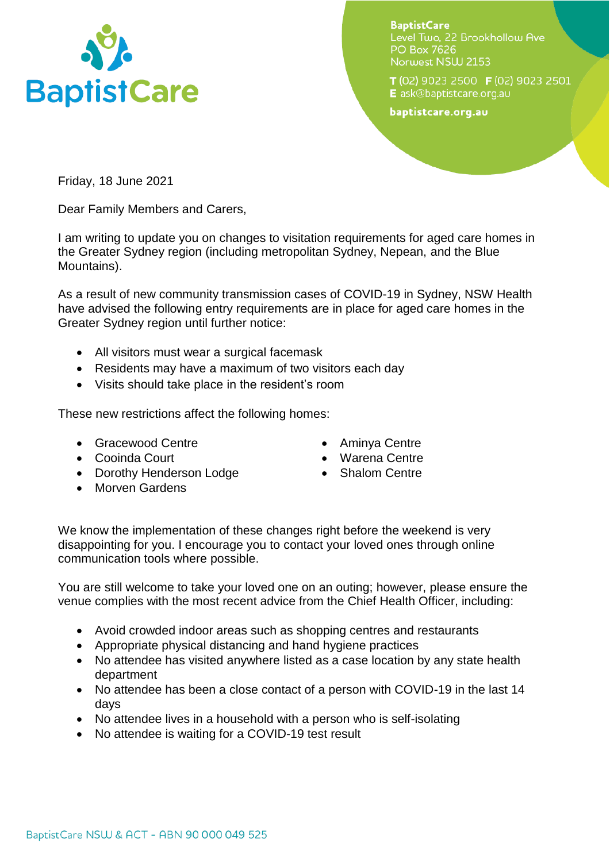

**BaptistCare** Level Two. 22 Brookhollow Ave **PO Box 7626** Norwest NSW 2153

T (02) 9023 2500 F (02) 9023 2501 E ask@baptistcare.org.au

baptistcare.org.au

Friday, 18 June 2021

Dear Family Members and Carers,

I am writing to update you on changes to visitation requirements for aged care homes in the Greater Sydney region (including metropolitan Sydney, Nepean, and the Blue Mountains).

As a result of new community transmission cases of COVID-19 in Sydney, NSW Health have advised the following entry requirements are in place for aged care homes in the Greater Sydney region until further notice:

- All visitors must wear a surgical facemask
- Residents may have a maximum of two visitors each day
- Visits should take place in the resident's room

These new restrictions affect the following homes:

- Gracewood Centre
- Cooinda Court
- Dorothy Henderson Lodge
- Morven Gardens
- Aminya Centre
- Warena Centre
- Shalom Centre

We know the implementation of these changes right before the weekend is very disappointing for you. I encourage you to contact your loved ones through online communication tools where possible.

You are still welcome to take your loved one on an outing; however, please ensure the venue complies with the most recent advice from the Chief Health Officer, including:

- Avoid crowded indoor areas such as shopping centres and restaurants
- Appropriate physical distancing and hand hygiene practices
- No attendee has visited anywhere listed as a case location by any state health department
- No attendee has been a close contact of a person with COVID-19 in the last 14 days
- No attendee lives in a household with a person who is self-isolating
- No attendee is waiting for a COVID-19 test result